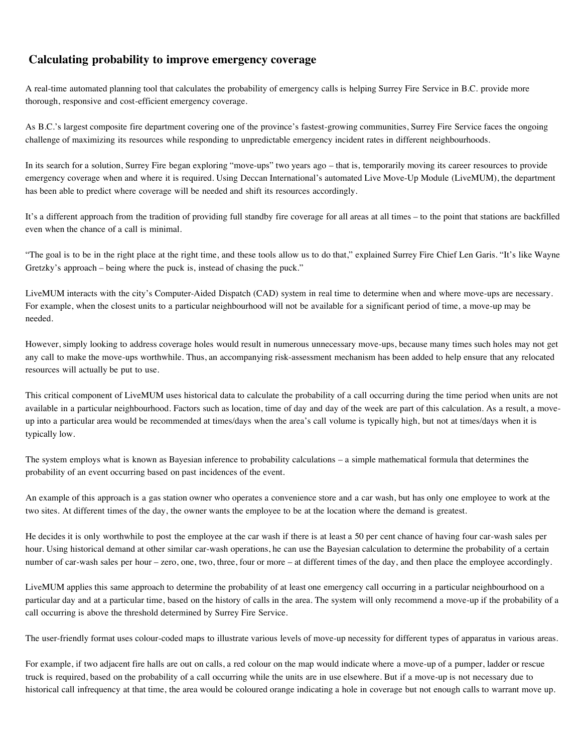## **Calculating probability to improve emergency coverage**

A real-time automated planning tool that calculates the probability of emergency calls is helping Surrey Fire Service in B.C. provide more thorough, responsive and cost-efficient emergency coverage.

As B.C.'s largest composite fire department covering one of the province's fastest-growing communities, Surrey Fire Service faces the ongoing challenge of maximizing its resources while responding to unpredictable emergency incident rates in different neighbourhoods.

In its search for a solution, Surrey Fire began exploring "move-ups" two years ago – that is, temporarily moving its career resources to provide emergency coverage when and where it is required. Using Deccan International's automated Live Move-Up Module (LiveMUM), the department has been able to predict where coverage will be needed and shift its resources accordingly.

It's a different approach from the tradition of providing full standby fire coverage for all areas at all times – to the point that stations are backfilled even when the chance of a call is minimal.

"The goal is to be in the right place at the right time, and these tools allow us to do that," explained Surrey Fire Chief Len Garis. "It's like Wayne Gretzky's approach – being where the puck is, instead of chasing the puck."

LiveMUM interacts with the city's Computer-Aided Dispatch (CAD) system in real time to determine when and where move-ups are necessary. For example, when the closest units to a particular neighbourhood will not be available for a significant period of time, a move-up may be needed.

However, simply looking to address coverage holes would result in numerous unnecessary move-ups, because many times such holes may not get any call to make the move-ups worthwhile. Thus, an accompanying risk-assessment mechanism has been added to help ensure that any relocated resources will actually be put to use.

This critical component of LiveMUM uses historical data to calculate the probability of a call occurring during the time period when units are not available in a particular neighbourhood. Factors such as location, time of day and day of the week are part of this calculation. As a result, a moveup into a particular area would be recommended at times/days when the area's call volume is typically high, but not at times/days when it is typically low.

The system employs what is known as Bayesian inference to probability calculations – a simple mathematical formula that determines the probability of an event occurring based on past incidences of the event.

An example of this approach is a gas station owner who operates a convenience store and a car wash, but has only one employee to work at the two sites. At different times of the day, the owner wants the employee to be at the location where the demand is greatest.

He decides it is only worthwhile to post the employee at the car wash if there is at least a 50 per cent chance of having four car-wash sales per hour. Using historical demand at other similar car-wash operations, he can use the Bayesian calculation to determine the probability of a certain number of car-wash sales per hour – zero, one, two, three, four or more – at different times of the day, and then place the employee accordingly.

LiveMUM applies this same approach to determine the probability of at least one emergency call occurring in a particular neighbourhood on a particular day and at a particular time, based on the history of calls in the area. The system will only recommend a move-up if the probability of a call occurring is above the threshold determined by Surrey Fire Service.

The user-friendly format uses colour-coded maps to illustrate various levels of move-up necessity for different types of apparatus in various areas.

For example, if two adjacent fire halls are out on calls, a red colour on the map would indicate where a move-up of a pumper, ladder or rescue truck is required, based on the probability of a call occurring while the units are in use elsewhere. But if a move-up is not necessary due to historical call infrequency at that time, the area would be coloured orange indicating a hole in coverage but not enough calls to warrant move up.